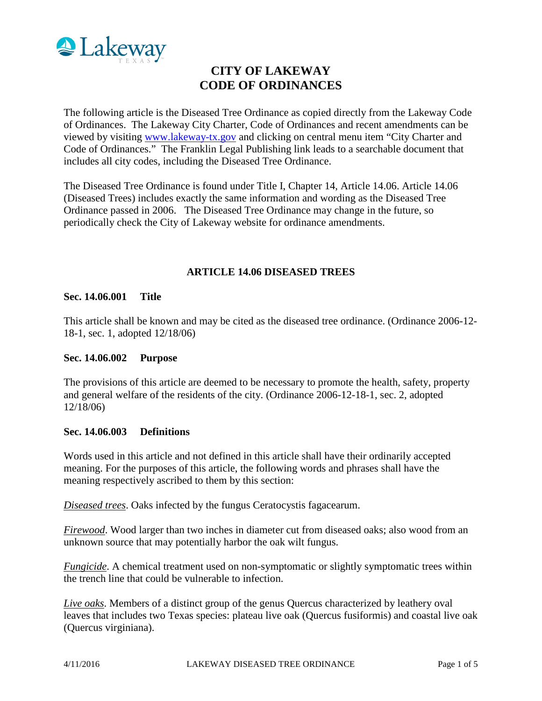

# **CITY OF LAKEWAY CODE OF ORDINANCES**

The following article is the Diseased Tree Ordinance as copied directly from the Lakeway Code of Ordinances. The Lakeway City Charter, Code of Ordinances and recent amendments can be viewed by visiting [www.lakeway-tx.gov](http://www.lakeway-tx.gov/) and clicking on central menu item "City Charter and Code of Ordinances." The Franklin Legal Publishing link leads to a searchable document that includes all city codes, including the Diseased Tree Ordinance.

The Diseased Tree Ordinance is found under Title I, Chapter 14, Article 14.06. Article 14.06 (Diseased Trees) includes exactly the same information and wording as the Diseased Tree Ordinance passed in 2006. The Diseased Tree Ordinance may change in the future, so periodically check the City of Lakeway website for ordinance amendments.

#### **ARTICLE 14.06 DISEASED TREES**

#### **Sec. 14.06.001 Title**

This article shall be known and may be cited as the diseased tree ordinance. (Ordinance 2006-12- 18-1, sec. 1, adopted 12/18/06)

#### **Sec. 14.06.002 Purpose**

The provisions of this article are deemed to be necessary to promote the health, safety, property and general welfare of the residents of the city. (Ordinance 2006-12-18-1, sec. 2, adopted 12/18/06)

#### **Sec. 14.06.003 Definitions**

Words used in this article and not defined in this article shall have their ordinarily accepted meaning. For the purposes of this article, the following words and phrases shall have the meaning respectively ascribed to them by this section:

*Diseased trees*. Oaks infected by the fungus Ceratocystis fagacearum.

*Firewood*. Wood larger than two inches in diameter cut from diseased oaks; also wood from an unknown source that may potentially harbor the oak wilt fungus.

*Fungicide*. A chemical treatment used on non-symptomatic or slightly symptomatic trees within the trench line that could be vulnerable to infection.

*Live oaks*. Members of a distinct group of the genus Quercus characterized by leathery oval leaves that includes two Texas species: plateau live oak (Quercus fusiformis) and coastal live oak (Quercus virginiana).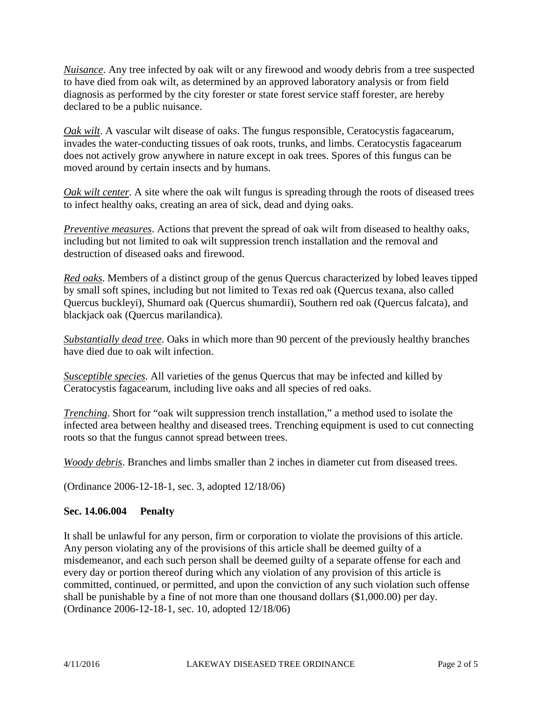*Nuisance*. Any tree infected by oak wilt or any firewood and woody debris from a tree suspected to have died from oak wilt, as determined by an approved laboratory analysis or from field diagnosis as performed by the city forester or state forest service staff forester, are hereby declared to be a public nuisance.

*Oak wilt*. A vascular wilt disease of oaks. The fungus responsible, Ceratocystis fagacearum, invades the water-conducting tissues of oak roots, trunks, and limbs. Ceratocystis fagacearum does not actively grow anywhere in nature except in oak trees. Spores of this fungus can be moved around by certain insects and by humans.

*Oak wilt center*. A site where the oak wilt fungus is spreading through the roots of diseased trees to infect healthy oaks, creating an area of sick, dead and dying oaks.

*Preventive measures*. Actions that prevent the spread of oak wilt from diseased to healthy oaks, including but not limited to oak wilt suppression trench installation and the removal and destruction of diseased oaks and firewood.

*Red oaks*. Members of a distinct group of the genus Quercus characterized by lobed leaves tipped by small soft spines, including but not limited to Texas red oak (Quercus texana, also called Quercus buckleyi), Shumard oak (Quercus shumardii), Southern red oak (Quercus falcata), and blackjack oak (Quercus marilandica).

*Substantially dead tree*. Oaks in which more than 90 percent of the previously healthy branches have died due to oak wilt infection.

*Susceptible species*. All varieties of the genus Quercus that may be infected and killed by Ceratocystis fagacearum, including live oaks and all species of red oaks.

*Trenching*. Short for "oak wilt suppression trench installation," a method used to isolate the infected area between healthy and diseased trees. Trenching equipment is used to cut connecting roots so that the fungus cannot spread between trees.

*Woody debris*. Branches and limbs smaller than 2 inches in diameter cut from diseased trees.

(Ordinance 2006-12-18-1, sec. 3, adopted 12/18/06)

# **Sec. 14.06.004 Penalty**

It shall be unlawful for any person, firm or corporation to violate the provisions of this article. Any person violating any of the provisions of this article shall be deemed guilty of a misdemeanor, and each such person shall be deemed guilty of a separate offense for each and every day or portion thereof during which any violation of any provision of this article is committed, continued, or permitted, and upon the conviction of any such violation such offense shall be punishable by a fine of not more than one thousand dollars (\$1,000.00) per day. (Ordinance 2006-12-18-1, sec. 10, adopted 12/18/06)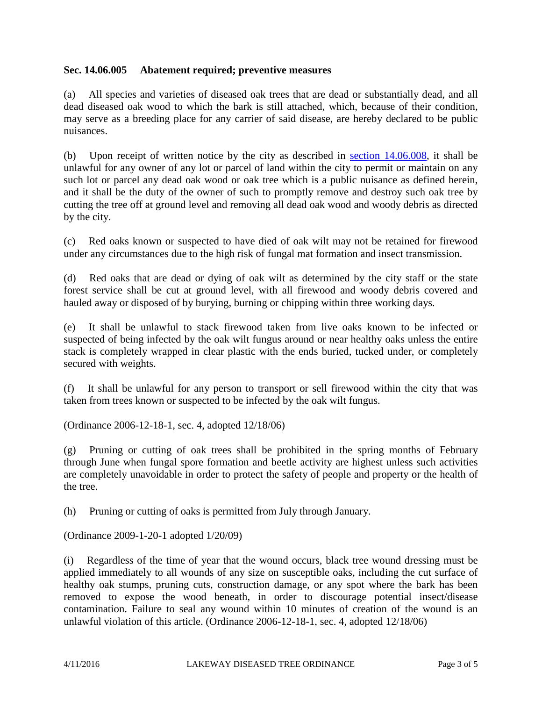# **Sec. 14.06.005 Abatement required; preventive measures**

(a) All species and varieties of diseased oak trees that are dead or substantially dead, and all dead diseased oak wood to which the bark is still attached, which, because of their condition, may serve as a breeding place for any carrier of said disease, are hereby declared to be public nuisances.

(b) Upon receipt of written notice by the city as described in section  $14.06.008$ , it shall be unlawful for any owner of any lot or parcel of land within the city to permit or maintain on any such lot or parcel any dead oak wood or oak tree which is a public nuisance as defined herein, and it shall be the duty of the owner of such to promptly remove and destroy such oak tree by cutting the tree off at ground level and removing all dead oak wood and woody debris as directed by the city.

(c) Red oaks known or suspected to have died of oak wilt may not be retained for firewood under any circumstances due to the high risk of fungal mat formation and insect transmission.

(d) Red oaks that are dead or dying of oak wilt as determined by the city staff or the state forest service shall be cut at ground level, with all firewood and woody debris covered and hauled away or disposed of by burying, burning or chipping within three working days.

(e) It shall be unlawful to stack firewood taken from live oaks known to be infected or suspected of being infected by the oak wilt fungus around or near healthy oaks unless the entire stack is completely wrapped in clear plastic with the ends buried, tucked under, or completely secured with weights.

(f) It shall be unlawful for any person to transport or sell firewood within the city that was taken from trees known or suspected to be infected by the oak wilt fungus.

(Ordinance 2006-12-18-1, sec. 4, adopted 12/18/06)

(g) Pruning or cutting of oak trees shall be prohibited in the spring months of February through June when fungal spore formation and beetle activity are highest unless such activities are completely unavoidable in order to protect the safety of people and property or the health of the tree.

(h) Pruning or cutting of oaks is permitted from July through January.

(Ordinance 2009-1-20-1 adopted 1/20/09)

(i) Regardless of the time of year that the wound occurs, black tree wound dressing must be applied immediately to all wounds of any size on susceptible oaks, including the cut surface of healthy oak stumps, pruning cuts, construction damage, or any spot where the bark has been removed to expose the wood beneath, in order to discourage potential insect/disease contamination. Failure to seal any wound within 10 minutes of creation of the wound is an unlawful violation of this article. (Ordinance 2006-12-18-1, sec. 4, adopted 12/18/06)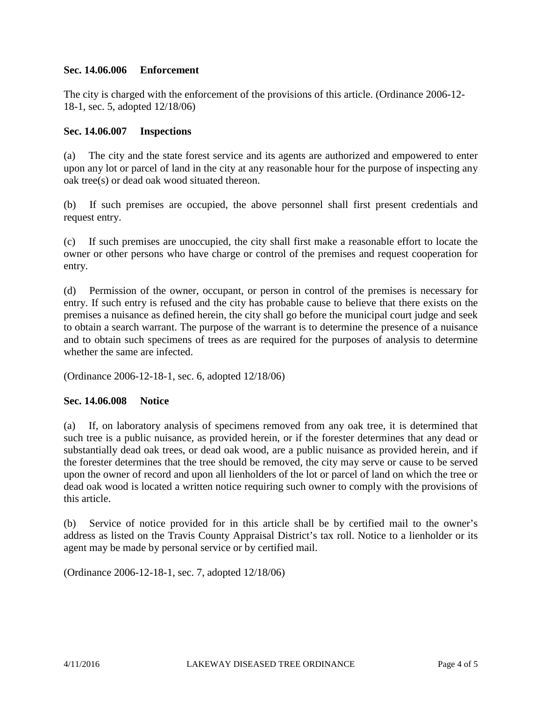# **Sec. 14.06.006 Enforcement**

The city is charged with the enforcement of the provisions of this article. (Ordinance 2006-12- 18-1, sec. 5, adopted 12/18/06)

# **Sec. 14.06.007 Inspections**

(a) The city and the state forest service and its agents are authorized and empowered to enter upon any lot or parcel of land in the city at any reasonable hour for the purpose of inspecting any oak tree(s) or dead oak wood situated thereon.

(b) If such premises are occupied, the above personnel shall first present credentials and request entry.

(c) If such premises are unoccupied, the city shall first make a reasonable effort to locate the owner or other persons who have charge or control of the premises and request cooperation for entry.

(d) Permission of the owner, occupant, or person in control of the premises is necessary for entry. If such entry is refused and the city has probable cause to believe that there exists on the premises a nuisance as defined herein, the city shall go before the municipal court judge and seek to obtain a search warrant. The purpose of the warrant is to determine the presence of a nuisance and to obtain such specimens of trees as are required for the purposes of analysis to determine whether the same are infected.

(Ordinance 2006-12-18-1, sec. 6, adopted 12/18/06)

# **Sec. 14.06.008 Notice**

(a) If, on laboratory analysis of specimens removed from any oak tree, it is determined that such tree is a public nuisance, as provided herein, or if the forester determines that any dead or substantially dead oak trees, or dead oak wood, are a public nuisance as provided herein, and if the forester determines that the tree should be removed, the city may serve or cause to be served upon the owner of record and upon all lienholders of the lot or parcel of land on which the tree or dead oak wood is located a written notice requiring such owner to comply with the provisions of this article.

(b) Service of notice provided for in this article shall be by certified mail to the owner's address as listed on the Travis County Appraisal District's tax roll. Notice to a lienholder or its agent may be made by personal service or by certified mail.

(Ordinance 2006-12-18-1, sec. 7, adopted 12/18/06)